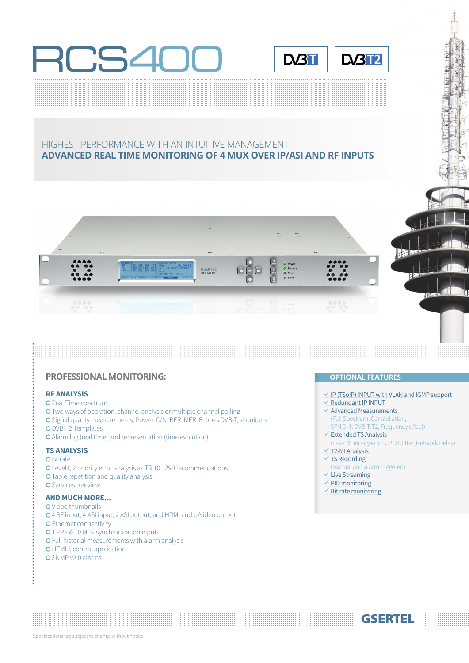



# HIGHEST PERFORMANCE WITH AN INTUITIVE MANAGEMENT **ADVANCED REAL TIME MONITORING OF 4 MUX OVER IP/ASI AND RF INPUTS**



## **PROFESSIONAL MONITORING: CONFIDENTIAL FEATURES**

#### **RF ANALYSIS**

- **O** Real Time spectrum
- Two ways of operation: channel analysis or multiple channel polling
- Signal quality measurements: Power, C/N, BER, MER, Echoes DVB-T, shoulders
- O DVB-T2 Templates
- Alarm log (real time) and representation (time evolution)

#### **TS ANALYSIS**

**O** Bitrate Level1, 2 priority error analysis as TR 101 290 recommendations **O** Table repetition and quality analysis **O** Services treeview

# **AND MUCH MORE...**

**O** Video thumbnails 4 RF input, 4 ASI input, 2 ASI output, and HDMI audio/video output **O** Ethernet connectivity **0**1 PPS & 10 MHz synchronization inputs Full historial measurements with alarm analysis **OHTML5** control application O SNMP v2.0 alarms

- $\checkmark$  IP (TSoIP) INPUT with VLAN and IGMP support
- $\checkmark$  Redundant IP INPUT
- $\checkmark$  Advanced Measurements
- (Full Spectrum, Constellation,
- SFN Drift DVB-T/T2, Frequency offset)
- $\checkmark$  Extended TS Analysis
- (Level 3 priority errors, PCR Jitter, Network Delay)

**GSERTEL** 

- $\times$  T2-MI Analysis
- $\times$  TS Recording
- (Manual and alarm triggered)
- $\checkmark$  Live Streaming
- $\checkmark$  PID monitoring
- $\checkmark$  Bit rate monitoring